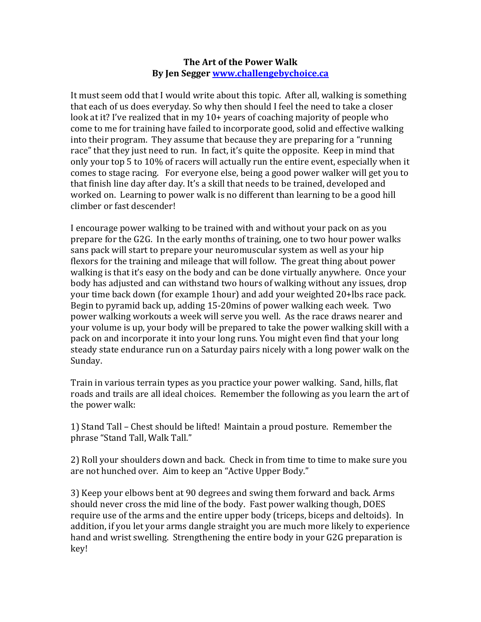## **The Art of the Power Walk By Jen Segger www.challengebychoice.ca**

It must seem odd that I would write about this topic. After all, walking is something that each of us does everyday. So why then should I feel the need to take a closer look at it? I've realized that in my  $10+$  years of coaching majority of people who come to me for training have failed to incorporate good, solid and effective walking into their program. They assume that because they are preparing for a "running" race" that they just need to run. In fact, it's quite the opposite. Keep in mind that only your top 5 to 10% of racers will actually run the entire event, especially when it comes to stage racing. For everyone else, being a good power walker will get you to that finish line day after day. It's a skill that needs to be trained, developed and worked on. Learning to power walk is no different than learning to be a good hill climber or fast descender!

I encourage power walking to be trained with and without your pack on as you prepare for the G2G. In the early months of training, one to two hour power walks sans pack will start to prepare your neuromuscular system as well as your hip flexors for the training and mileage that will follow. The great thing about power walking is that it's easy on the body and can be done virtually anywhere. Once your body has adjusted and can withstand two hours of walking without any issues, drop your time back down (for example 1hour) and add your weighted 20+lbs race pack. Begin to pyramid back up, adding 15-20mins of power walking each week. Two power walking workouts a week will serve you well. As the race draws nearer and your volume is up, your body will be prepared to take the power walking skill with a pack on and incorporate it into your long runs. You might even find that your long steady state endurance run on a Saturday pairs nicely with a long power walk on the Sunday. 

Train in various terrain types as you practice your power walking. Sand, hills, flat roads and trails are all ideal choices. Remember the following as you learn the art of the power walk:

1) Stand Tall – Chest should be lifted! Maintain a proud posture. Remember the phrase "Stand Tall, Walk Tall."

2) Roll your shoulders down and back. Check in from time to time to make sure you are not hunched over. Aim to keep an "Active Upper Body."

3) Keep your elbows bent at 90 degrees and swing them forward and back. Arms should never cross the mid line of the body. Fast power walking though, DOES require use of the arms and the entire upper body (triceps, biceps and deltoids). In addition, if you let your arms dangle straight you are much more likely to experience hand and wrist swelling. Strengthening the entire body in your G2G preparation is key!